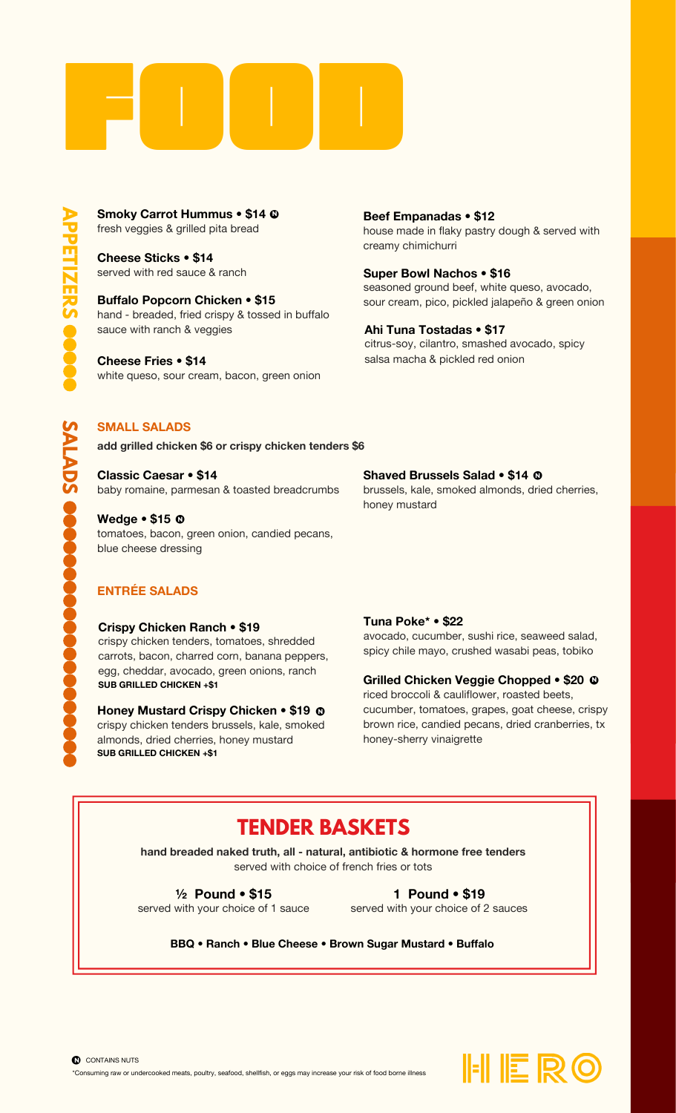

fresh veggies & grilled pita bread **Smoky Carrot Hummus • \$14**  $\Phi$ 

> served with red sauce & ranch **Cheese Sticks • \$14**

hand - breaded, fried crispy & tossed in buffalo sauce with ranch & veggies **Buffalo Popcorn Chicken • \$15**

white queso, sour cream, bacon, green onion **Cheese Fries • \$14**

house made in flaky pastry dough & served with creamy chimichurri **Beef Empanadas • \$12**

seasoned ground beef, white queso, avocado, sour cream, pico, pickled jalapeño & green onion **Super Bowl Nachos • \$16**

citrus-soy, cilantro, smashed avocado, spicy salsa macha & pickled red onion **Ahi Tuna Tostadas • \$17**

## **SMALL SALADS**

**add grilled chicken \$6 or crispy chicken tenders \$6**

baby romaine, parmesan & toasted breadcrumbs **Classic Caesar • \$14**

tomatoes, bacon, green onion, candied pecans, blue cheese dressing **Wedge • \$15** • N

## **Shaved Brussels Salad • \$14** • N

brussels, kale, smoked almonds, dried cherries, honey mustard

## **ENTRÉE SALADS**

#### **Crispy Chicken Ranch • \$19**

crispy chicken tenders, tomatoes, shredded carrots, bacon, charred corn, banana peppers, egg, cheddar, avocado, green onions, ranch **SUB GRILLED CHICKEN +\$1**

crispy chicken tenders brussels, kale, smoked almonds, dried cherries, honey mustard **Honey Mustard Crispy Chicken • \$19**  $\mathbf{Q}$ N **SUB GRILLED CHICKEN +\$1**

#### **Tuna Poke\* • \$22**

avocado, cucumber, sushi rice, seaweed salad, spicy chile mayo, crushed wasabi peas, tobiko

## **Grilled Chicken Veggie Chopped • \$20** • N

riced broccoli & cauliflower, roasted beets, cucumber, tomatoes, grapes, goat cheese, crispy brown rice, candied pecans, dried cranberries, tx honey-sherry vinaigrette

# **TENDER BASKETS**

**hand breaded naked truth, all - natural, antibiotic & hormone free tenders** served with choice of french fries or tots

served with your choice of 1 sauce **½ Pound • \$15**

served with your choice of 2 sauces **1 Pound • \$19**

**BBQ • Ranch • Blue Cheese • Brown Sugar Mustard • Buffalo**

**P P E TIZ E RS**